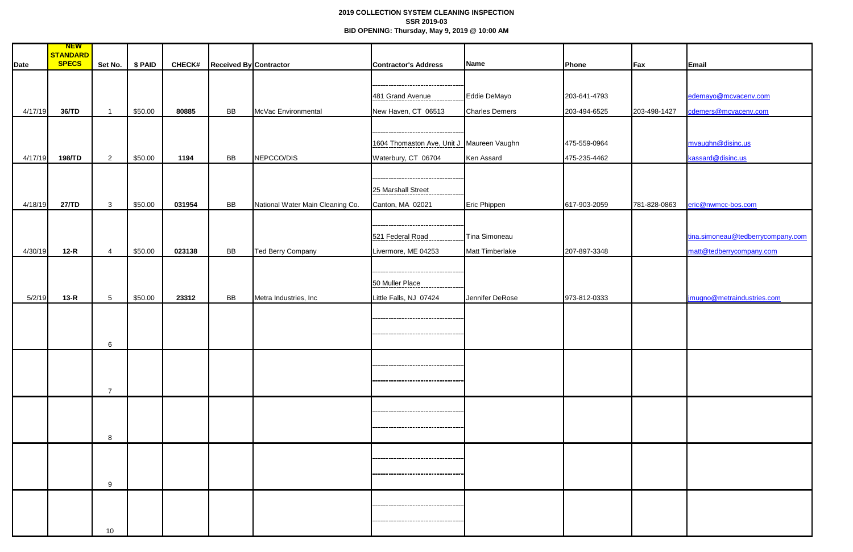## **2019 COLLECTION SYSTEM CLEANING INSPECTION SSR 2019-03 BID OPENING: Thursday, May 9, 2019 @ 10:00 AM**

|         | <b>NEW</b>               |                 |         |               |                        |                                  |                                                        |                       |              |              |                                   |
|---------|--------------------------|-----------------|---------|---------------|------------------------|----------------------------------|--------------------------------------------------------|-----------------------|--------------|--------------|-----------------------------------|
| Date    | STANDARD<br><b>SPECS</b> | Set No.         | \$ PAID | <b>CHECK#</b> | Received By Contractor |                                  | <b>Contractor's Address</b>                            | Name                  | Phone        | Fax          | Email                             |
|         |                          |                 |         |               |                        |                                  |                                                        |                       |              |              |                                   |
|         |                          |                 |         |               |                        |                                  | ----------------------------------<br>481 Grand Avenue | Eddie DeMayo          | 203-641-4793 |              | edemayo@mcvacenv.com              |
| 4/17/19 | 36/TD                    |                 | \$50.00 | 80885         | <b>BB</b>              | McVac Environmental              | New Haven, CT 06513                                    | <b>Charles Demers</b> | 203-494-6525 | 203-498-1427 | cdemers@mcvacenv.com              |
|         |                          |                 |         |               |                        |                                  |                                                        |                       |              |              |                                   |
|         |                          |                 |         |               |                        |                                  | ---------------------------------                      |                       |              |              |                                   |
|         |                          |                 |         |               |                        |                                  | 1604 Thomaston Ave, Unit J Maureen Vaughn              |                       | 475-559-0964 |              | mvaughn@disinc.us                 |
| 4/17/19 | 198/TD                   | $\overline{2}$  | \$50.00 | 1194          | BB                     | NEPCCO/DIS                       | Waterbury, CT 06704                                    | Ken Assard            | 475-235-4462 |              | kassard@disinc.us                 |
|         |                          |                 |         |               |                        |                                  |                                                        |                       |              |              |                                   |
|         |                          |                 |         |               |                        |                                  | 25 Marshall Street                                     |                       |              |              |                                   |
| 4/18/19 | 27/TD                    | $\mathbf{3}$    | \$50.00 | 031954        | BB                     | National Water Main Cleaning Co. | Canton, MA 02021                                       | Eric Phippen          | 617-903-2059 | 781-828-0863 | eric@nwmcc-bos.com                |
|         |                          |                 |         |               |                        |                                  |                                                        |                       |              |              |                                   |
|         |                          |                 |         |               |                        |                                  | 521 Federal Road                                       | Tina Simoneau         |              |              | tina.simoneau@tedberrycompany.com |
| 4/30/19 | $12-R$                   | $\overline{4}$  | \$50.00 | 023138        | BB                     | <b>Ted Berry Company</b>         | Livermore, ME 04253                                    | Matt Timberlake       | 207-897-3348 |              | matt@tedberrycompany.com          |
|         |                          |                 |         |               |                        |                                  |                                                        |                       |              |              |                                   |
|         |                          |                 |         |               |                        |                                  |                                                        |                       |              |              |                                   |
|         |                          |                 |         |               |                        |                                  | 50 Muller Place                                        |                       |              |              |                                   |
| 5/2/19  | $13-R$                   | $5\overline{)}$ | \$50.00 | 23312         | BB                     | Metra Industries, Inc            | Little Falls, NJ 07424                                 | Jennifer DeRose       | 973-812-0333 |              | jmugno@metraindustries.com        |
|         |                          |                 |         |               |                        |                                  | ---------------------------                            |                       |              |              |                                   |
|         |                          |                 |         |               |                        |                                  |                                                        |                       |              |              |                                   |
|         |                          | $6^{\circ}$     |         |               |                        |                                  |                                                        |                       |              |              |                                   |
|         |                          |                 |         |               |                        |                                  | -----------------------------------                    |                       |              |              |                                   |
|         |                          |                 |         |               |                        |                                  |                                                        |                       |              |              |                                   |
|         |                          | 7               |         |               |                        |                                  |                                                        |                       |              |              |                                   |
|         |                          |                 |         |               |                        |                                  |                                                        |                       |              |              |                                   |
|         |                          |                 |         |               |                        |                                  | -------------------------------------                  |                       |              |              |                                   |
|         |                          | 8               |         |               |                        |                                  |                                                        |                       |              |              |                                   |
|         |                          |                 |         |               |                        |                                  |                                                        |                       |              |              |                                   |
|         |                          |                 |         |               |                        |                                  | ----------------------------------                     |                       |              |              |                                   |
|         |                          |                 |         |               |                        |                                  | ----------------------------------                     |                       |              |              |                                   |
|         |                          | 9               |         |               |                        |                                  |                                                        |                       |              |              |                                   |
|         |                          |                 |         |               |                        |                                  | -----------------------------------                    |                       |              |              |                                   |
|         |                          |                 |         |               |                        |                                  | -----------------------------------                    |                       |              |              |                                   |
|         |                          |                 |         |               |                        |                                  |                                                        |                       |              |              |                                   |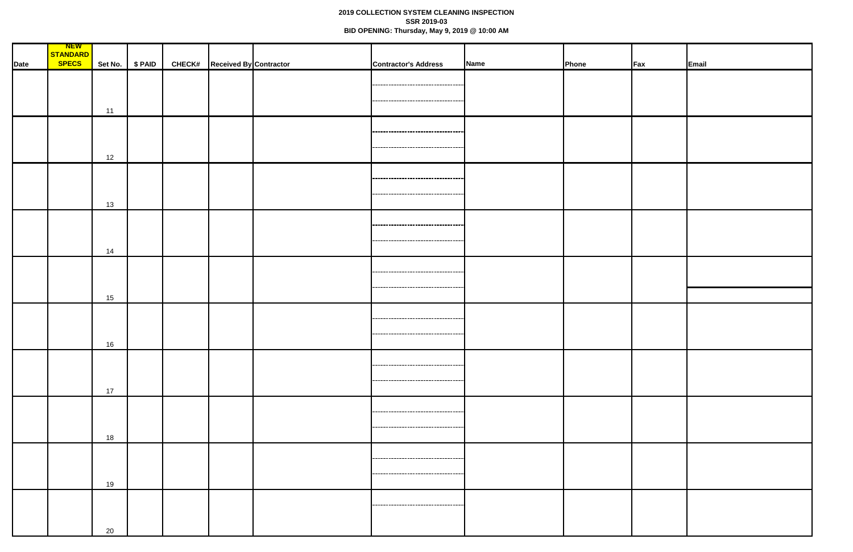## **2019 COLLECTION SYSTEM CLEANING INSPECTION SSR 2019-03 BID OPENING: Thursday, May 9, 2019 @ 10:00 AM**

|      | <b>NEW</b>   |    |                 |                                      |                                      |             |       |                 |       |
|------|--------------|----|-----------------|--------------------------------------|--------------------------------------|-------------|-------|-----------------|-------|
|      | STANDARD     |    |                 |                                      |                                      |             |       |                 |       |
| Date | <b>SPECS</b> |    | Set No. \$ PAID | <b>CHECK#</b> Received By Contractor | <b>Contractor's Address</b>          | <b>Name</b> | Phone | $\mathsf{F}$ ax | Email |
|      |              |    |                 |                                      |                                      |             |       |                 |       |
|      |              |    |                 |                                      | -----------------------------------  |             |       |                 |       |
|      |              |    |                 |                                      |                                      |             |       |                 |       |
|      |              |    |                 |                                      | -----------------------------------  |             |       |                 |       |
|      |              | 11 |                 |                                      |                                      |             |       |                 |       |
|      |              |    |                 |                                      |                                      |             |       |                 |       |
|      |              |    |                 |                                      | ---------------------------------    |             |       |                 |       |
|      |              |    |                 |                                      |                                      |             |       |                 |       |
|      |              |    |                 |                                      | -----------------------------------  |             |       |                 |       |
|      |              | 12 |                 |                                      |                                      |             |       |                 |       |
|      |              |    |                 |                                      |                                      |             |       |                 |       |
|      |              |    |                 |                                      |                                      |             |       |                 |       |
|      |              |    |                 |                                      |                                      |             |       |                 |       |
|      |              |    |                 |                                      | ----------------------------------   |             |       |                 |       |
|      |              | 13 |                 |                                      |                                      |             |       |                 |       |
|      |              |    |                 |                                      |                                      |             |       |                 |       |
|      |              |    |                 |                                      | ----------------------------------   |             |       |                 |       |
|      |              |    |                 |                                      |                                      |             |       |                 |       |
|      |              |    |                 |                                      | ---------------------------------    |             |       |                 |       |
|      |              | 14 |                 |                                      |                                      |             |       |                 |       |
|      |              |    |                 |                                      |                                      |             |       |                 |       |
|      |              |    |                 |                                      | ------------------------------------ |             |       |                 |       |
|      |              |    |                 |                                      |                                      |             |       |                 |       |
|      |              |    |                 |                                      | -------------------------            |             |       |                 |       |
|      |              | 15 |                 |                                      |                                      |             |       |                 |       |
|      |              |    |                 |                                      |                                      |             |       |                 |       |
|      |              |    |                 |                                      | -----------------------------------  |             |       |                 |       |
|      |              |    |                 |                                      |                                      |             |       |                 |       |
|      |              |    |                 |                                      | ----------------------------------   |             |       |                 |       |
|      |              | 16 |                 |                                      |                                      |             |       |                 |       |
|      |              |    |                 |                                      |                                      |             |       |                 |       |
|      |              |    |                 |                                      |                                      |             |       |                 |       |
|      |              |    |                 |                                      |                                      |             |       |                 |       |
|      |              |    |                 |                                      | -----------------------------------  |             |       |                 |       |
|      |              | 17 |                 |                                      |                                      |             |       |                 |       |
|      |              |    |                 |                                      |                                      |             |       |                 |       |
|      |              |    |                 |                                      | ------------------------------------ |             |       |                 |       |
|      |              |    |                 |                                      |                                      |             |       |                 |       |
|      |              |    |                 |                                      | ------------------------------------ |             |       |                 |       |
|      |              | 18 |                 |                                      |                                      |             |       |                 |       |
|      |              |    |                 |                                      |                                      |             |       |                 |       |
|      |              |    |                 |                                      | -----------------------------------  |             |       |                 |       |
|      |              |    |                 |                                      |                                      |             |       |                 |       |
|      |              |    |                 |                                      | ------------------------------------ |             |       |                 |       |
|      |              | 19 |                 |                                      |                                      |             |       |                 |       |
|      |              |    |                 |                                      |                                      |             |       |                 |       |
|      |              |    |                 |                                      | -----------------------------------  |             |       |                 |       |
|      |              |    |                 |                                      |                                      |             |       |                 |       |
|      |              |    |                 |                                      |                                      |             |       |                 |       |
|      |              | 20 |                 |                                      |                                      |             |       |                 |       |